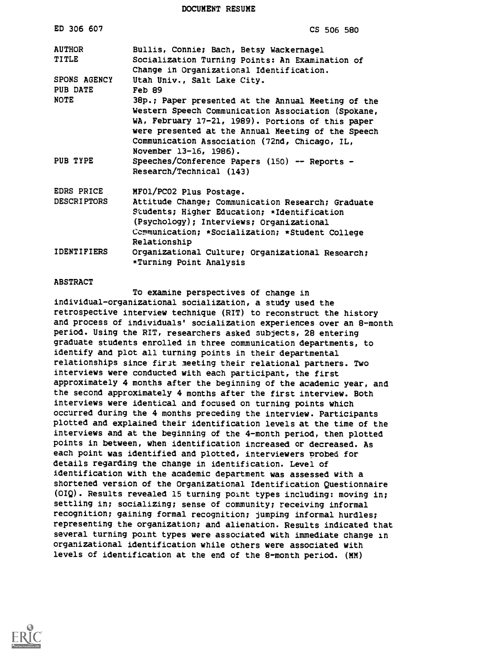DOCUMENT RESUME

| ED 306 607                       | CS 506 580                                                                                                                                                                                                                                                                                     |
|----------------------------------|------------------------------------------------------------------------------------------------------------------------------------------------------------------------------------------------------------------------------------------------------------------------------------------------|
| <b>AUTHOR</b><br>TITLE           | Bullis, Connie; Bach, Betsy Wackernagel<br>Socialization Turning Points: An Examination of<br>Change in Organizational Identification.                                                                                                                                                         |
| SPONS AGENCY<br>PUB DATE         | Utah Univ., Salt Lake City.<br>Feb 89                                                                                                                                                                                                                                                          |
| <b>NOTE</b>                      | 38p.; Paper presented at the Annual Meeting of the<br>Western Speech Communication Association (Spokane,<br>WA, February 17-21, 1989). Portions of this paper<br>were presented at the Annual Meeting of the Speech<br>Communication Association (72nd, Chicago, IL,<br>November 13-16, 1986). |
| PUB TYPE                         | Speeches/Conference Papers (150) -- Reports -<br>Research/Technical (143)                                                                                                                                                                                                                      |
| EDRS PRICE<br><b>DESCRIPTORS</b> | MF01/PC02 Plus Postage.<br>Attitude Change; Communication Research; Graduate<br>Students; Higher Education; *Identification<br>(Psychology); Interviews; Organizational<br>Communication; *Socialization; *Student College<br>Relationship                                                     |
| <b>IDENTIFIERS</b>               | Organizational Culture; Organizational Research;<br>*Turning Point Analysis                                                                                                                                                                                                                    |

#### ABSTRACT

To examine perspectives of change in individual-organizational socialization, a study used the retrospective interview technique (RIT) to reconstruct the history and process of individuals' socialization experiences over an 8-month period. Using the RIT, researchers asked subjects, 28 entering graduate students enrolled in three communication departments, to identify and plot all turning points in their departmental relationships since first meeting their relational partners. Two interviews were conducted with each participant, the first approximately 4 months after the beginning of the academic year, and the second approximately 4 months after the first interview. Both interviews were identical and focused on turning points which occurred during the 4 months preceding the interview. Participants plotted and explained their identification levels at the time of the interviews and at the beginning of the 4-month period, then plotted points in between, when identification increased or decreased. As each point was identified and plotted, interviewers probed for details regarding the change in identification. Level of identification with the academic department was assessed with a shortened version of the Organizational Identification Questionnaire (OIQ). Results revealed 15 turning point types including: moving in; settling in; socializing; sense of community; receiving informal recognition; gaining formal recognition; jumping informal hurdles; representing the organization; and alienation. Results indicated that several turning point types were associated with immediate change in organizational identification while others were associated with levels of identification at the end of the 8-month period. (MM)

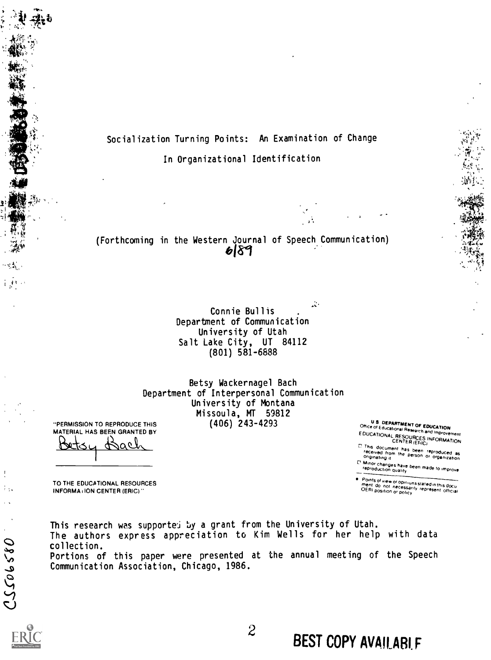

(Forthcoming in the Western Journal of Speech Communication)<br>
6|89

 $\ddot{\ddot{\zeta}}$ Connie Bullis Department of Communication University of Utah Salt Lake City, UT 84112 (801) 581-6888

Betsy Wackernagel Bach Department of Interpersonal Communication University of Montana Missoula, MT 59812

U S DEPARTMENT OF EDUCATION<br>Office of Educational Research and Improvement<br>EDUCATIONAL RESOURCES INFORMATION<br>CENTER (ERIC)

 $x \sim 1$  $\mathbb{C}\mathbb{S}^n$ 

C This document has been reproduced as<br>- received from the person or organization<br>- originating it

L. Minor changes have been made to improve<br>reproduction quality

Points of view or opiriuns stated in this docu<br>ment :do .not. necessarily .represent. official<br>OERI position or policy

"PERMISSION TO REPRODUCE THIS MATERIAL HAS BEEN GRANTED BY Betsy Bach

TO THE EDUCATIONAL RESOURCES INFORMATION CENTER (ERIC)"

This research was supported by a grant from the University of Utah. The authors express appreciation to Kim Wells for her help with data collection. Portions of this paper were presented at the annual meeting of the Speech Communication Association, Chicago, 1986.

 $\mathbf{1}$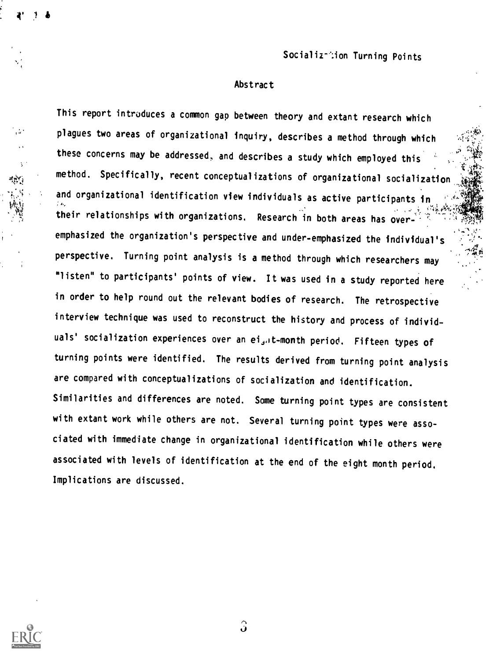.,...,,

### Abstract

This report introduces a common gap between theory and extant research which plagues two areas of organizational inquiry, describes a method through which these concerns may be addressed, and describes a study which employed this  $\mathcal{A}$ method. Specifically, recent conceptualizations of organizational socialization and organizational identification view individuals as active participants in  $\frac{1}{2}$  ,  $\frac{1}{2}$  ,  $\frac{1}{2}$  ,  $\frac{1}{2}$  ,  $\frac{1}{2}$  ,  $\frac{1}{2}$  ,  $\frac{1}{2}$  ,  $\frac{1}{2}$  ,  $\frac{1}{2}$  ,  $\frac{1}{2}$  ,  $\frac{1}{2}$  ,  $\frac{1}{2}$  ,  $\frac{1}{2}$  ,  $\frac{1}{2}$  ,  $\frac{1}{2}$  ,  $\frac{1}{2}$  ,  $\frac{1}{2}$  ,  $\frac{1}{2}$  ,  $\frac{1$ their relationships with organizations. Research in both areas has over-'  $\mathbb{R}^3$  .  $\mathbb{Z}_2$  $\mathbf{e} = \mathbf{e}^{\mathbf{Q}}$  . The set of  $\mathbf{e}$ emphasized the organization's perspective and under-emphasized the individual's perspective. Turning point analysis is a method through which researchers may "listen" to participants' points of view. It was used in a study reported here in order to help round out the relevant bodies of research. The retrospective interview technique was used to reconstruct the history and process of individuals' socialization experiences over an ei<sub>s</sub>., t-month period. Fifteen types of turning points were identified. The results derived from turning point analysis are compared with conceptualizations of socialization and identification. Similarities and differences are noted. Some turning point types are consistent with extant work while others are not. Several turning point types were associated with immediate change in organizational identification while others were associated with levels of identification at the end of the eight month period. Implications are discussed.



 $\bullet$  and  $\bullet$ 

 $\hat{\mathbf{J}}$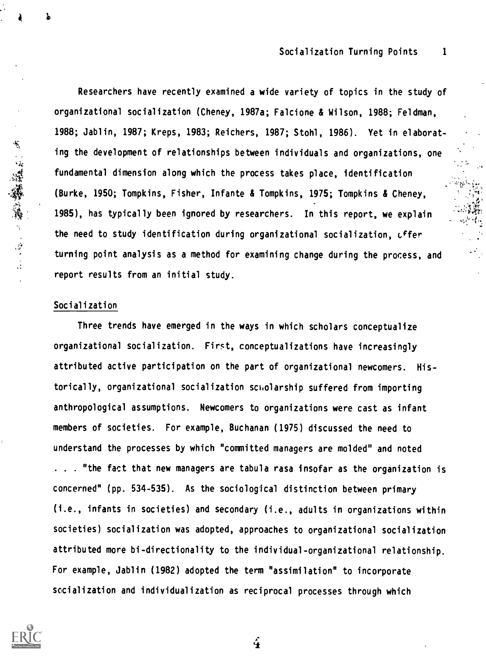Researchers have recently examined a wide variety of topics in the study of organizational socialization (Cheney, 1987a; Falcione & Wilson, 1988; Feldman, 1988; Jablin, 1987; Kreps, 1983; Reichers, 1987; Stohl, 1986). Yet in elaborating the development of relationships between individuals and organizations, one fundamental dimension along which the process takes place, identification (Burke, 1950; Tompkins, Fisher, Infante & Tompkins, 1975; Tompkins & Cheney, 1985), has typically been ignored by researchers. In this report, we explain the need to study identification during organizational socialization, Lffer turning point analysis as a method for examining change during the process, and report results from an initial study.

## Socialization

 $\bullet$  and the set of  $\bullet$ 

医二角膜静脉 人名英格兰

Three trends have emerged in the ways in which scholars conceptualize organizational socialization. First, conceptualizations have increasingly attributed active participation on the part of organizational newcomers. Historically, organizational socialization scholarship suffered from importing anthropological assumptions. Newcomers to organizations were cast as infant members of societies. For example, Buchanan (1975) discussed the need to understand the processes by which "committed managers are molded" and noted . . "the fact that new managers are tabula rasa insofar as the organization is concerned" (pp. 534-535). As the sociological distinction between primary (i.e., infants in societies) and secondary (i.e., adults in organizations within societies) socialization was adopted, approaches to organizational socialization attributed more bi-directionality to the individual-organizational relationship. For example, Jablin (1982) adopted the term "assimilation" to incorporate socialization and individualization as reciprocal processes through which

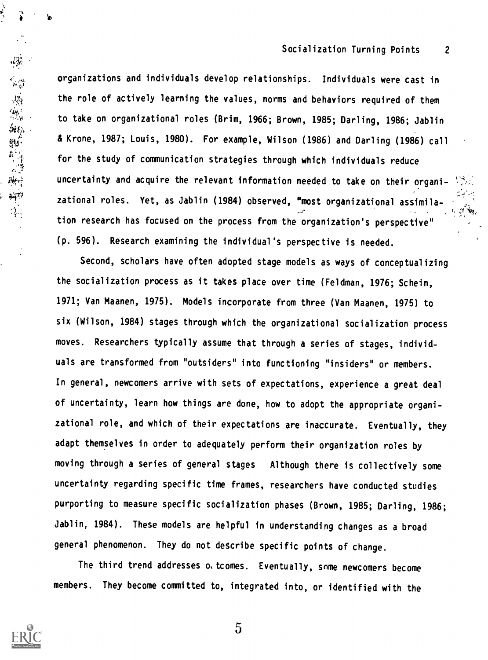Ar

organizations and individuals develop relationships. Individuals were cast in the role of actively learning the values, norms and behaviors required of them to take on organizational roles (Brim, 1966; Brown, 1985; Darling, 1986; Jablin & Krone, 1987; Louis, 1980). For example, Wilson (1986) and Darling (1986) call for the study of communication strategies through which individuals reduce uncertainty and acquire the relevant information needed to take on their organizational roles. Yet, as Jablin (1984) observed, "most organizational assimilation research has focused on the process from the organization's perspective" (p. 596). Research examining the individual's perspective is needed.

Second, scholars have often adopted stage models as ways of conceptualizing the socialization process as it takes place over time (Feldman, 1976; Schein, 1971; Van Maanen, 1975). Models incorporate from three (Van Maanen, 1975) to six (Wilson, 1984) stages through which the organizational socialization process moves. Researchers typically assume that through a series of stages, individuals are transformed from "outsiders" into functioning "insiders" or members. In general, newcomers arrive with sets of expectations, experience a great deal of uncertainty, learn how things are done, how to adopt the appropriate organizational role, and which of their expectations are inaccurate. Eventually, they adapt themselves in order to adequately perform their organization roles by moving through a series of general stages Although there is collectively some uncertainty regarding specific time frames, researchers have conducted studies purporting to measure specific socialization phases (Brown, 1985; Darling, 1986; Jablin, 1984). These models are helpful in understanding changes as a broad general phenomenon. They do not describe specific points of change.

The third trend addresses o. tcomes. Eventually, some newcomers become members. They become committed to, integrated into, or identified with the



et<br>Weg

"海绵粉""海绵"

 $\overline{5}$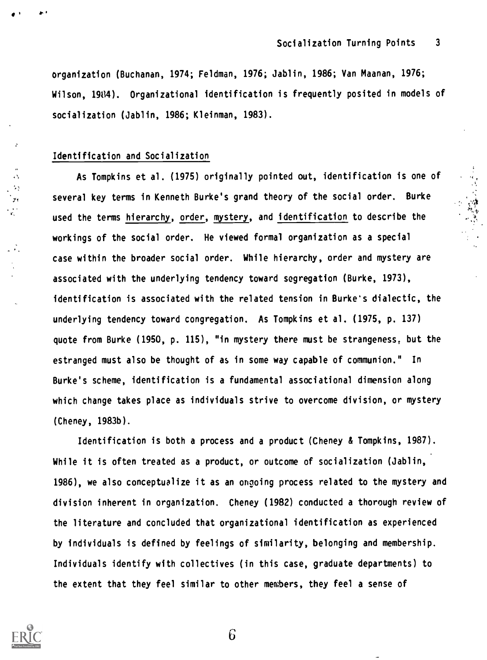organization (Buchanan, 1974; Feldman, 1976; Jablin, 1986; Van Maanan, 1976; Wilson, 1984). Organizational identification is frequently posited in models of socialization (Jablin, 1986; Kleinman, 1983).

## Identification and Socialization

As Tompkins et al. (1975) originally pointed out, identification is one of several key terms in Kenneth Burke's grand theory of the social order. Burke used the terms hierarchy, order, mystery, and identification to describe the workings of the social order. He viewed formal organization as a special case within the broader social order. While hierarchy, order and mystery are associated with the underlying tendency toward segregation (Burke, 1973), identification is associated with the related tension in Burke's dialectic, the underlying tendency toward congregation. As Tompkins et al. (1975, p. 137) quote from Burke (1950, p. 115), "in mystery there must be strangeness, but the estranged must also be thought of as in some way capable of communion." In Burke's scheme, identification is a fundamental associational dimension along which change takes place as individuals strive to overcome division, or mystery (Cheney, 1983b).

Identification is both a process and a product (Cheney & Tompkins, 1987). While it is often treated as a product, or outcome of socialization (Jablin, 1986), we also conceptualize it as an ongoing process related to the mystery and division inherent in organization. Cheney (1982) conducted a thorough review of the literature and concluded that organizational identification as experienced by individuals is defined by feelings of similarity, belonging and membership. Individuals identify with collectives (in this case, graduate departments) to the extent that they feel similar to other members, they feel a sense of



 $\mathcal{F}$ ithean anns an t-

 $\ddot{\phantom{1}}$ -73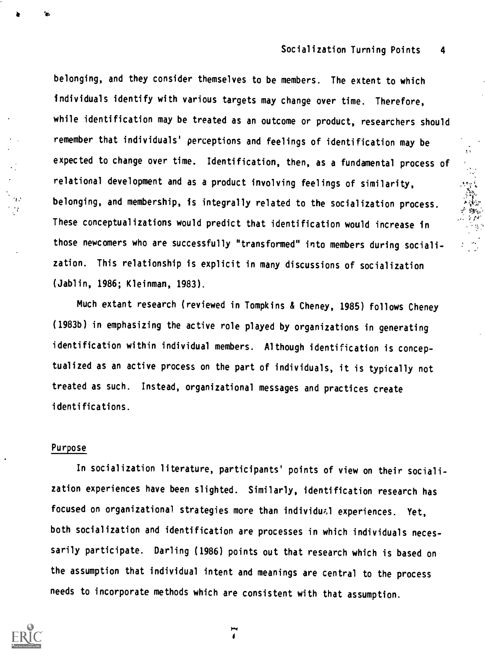:40,

belonging, and they consider themselves to be members. The extent to which individuals identify with various targets may change over time. Therefore, while identification may be treated as an outcome or product, researchers should remember that individuals' perceptions and feelings of identification may be expected to change over time. Identification, then, as a fundamental process of relational development and as a product involving feelings of similarity, belonging, and membership, is integrally related to the socialization process. These conceptualizations would predict that identification would increase in those newcomers who are successfully "transformed" into members during socialization. This relationship is explicit in many discussions of socialization (Jablin, 1986; Kleinman, 1983).

Much extant research (reviewed in Tompkins & Cheney, 1985) follows Cheney (1983b) in emphasizing the active role played by organizations in generating identification within individual members. Although identification is conceptualized as an active process on the part of individuals, it is typically not treated as such. Instead, organizational messages and practices create identifications.

## Purpose

6

In socialization literature, participants' points of view on their socialization experiences have been slighted. Similarly, identification research has focused on organizational strategies more than individual experiences. Yet, both socialization and identification are processes in which individuals necessarily participate. Darling (1986) points out that research which is based on the assumption that individual intent and meanings are central to the process needs to incorporate methods which are consistent with that assumption.

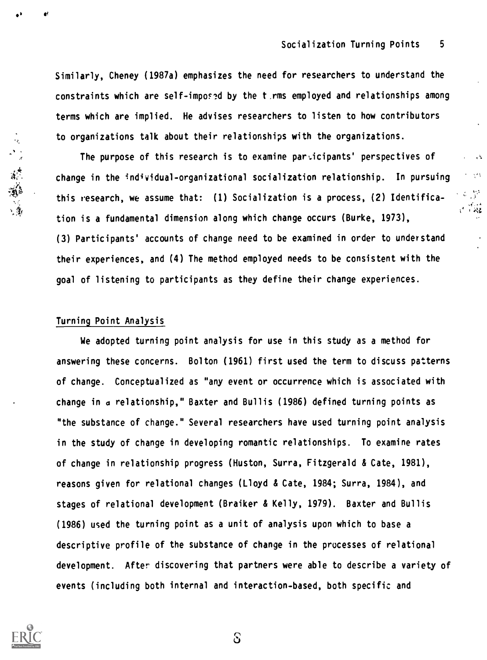$\sim 10^{11}$ میں ہے۔<br>علام اداکہ

Similarly, Cheney (1987a) emphasizes the need for researchers to understand the constraints which are self-imposed by the t, rms employed and relationships among terms which are implied. He advises researchers to listen to how contributors to organizations talk about their relationships with the organizations.

The purpose of this research is to examine participants' perspectives of change in the individual-organizational socialization relationship. In pursuing this research, we assume that: (1) Socialization is a process, (2) Identification is a fundamental dimension along which change occurs (Burke, 1973), (3) Participants' accounts of change need to be examined in order to understand their experiences, and (4) The method employed needs to be consistent with the goal of listening to participants as they define their change experiences.

## Turning Point Analysis

We adopted turning point analysis for use in this study as a method for answering these concerns. Bolton (1961) first used the term to discuss patterns of change. Conceptualized as "any event or occurrence which is associated with change in d relationship," Baxter and Bullis (1986) defined turning points as "the substance of change." Several researchers have used turning point analysis in the study of change in developing romantic relationships. To examine rates of change in relationship progress (Huston, Surra, Fitzgerald & Cate, 1981), reasons given for relational changes (Lloyd & Cate, 1984; Surra, 1984), and stages of relational development (Braiker & Kelly, 1979). Baxter and Bullis (1986) used the turning point as a unit of analysis upon which to base a descriptive profile of the substance of change in the processes of relational development. After discovering that partners were able to describe a variety of events (including both internal and interaction-based, both specific and



涂漆

 $S$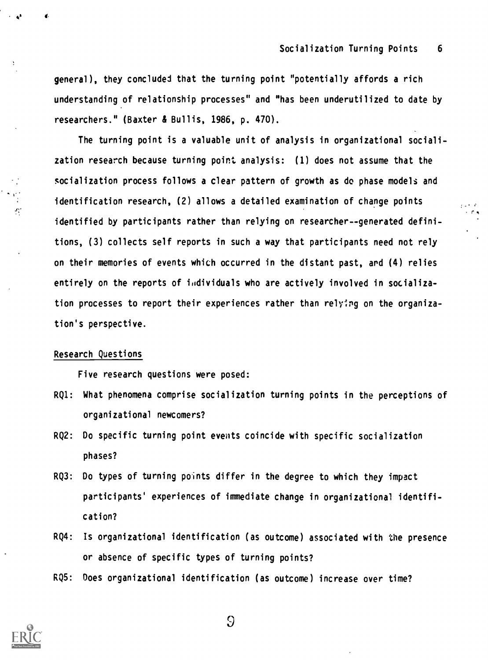general), they concluded that the turning point "potentially affords a rich understanding of relationship processes" and "has been underutilized to date by researchers." (Baxter & Bullis, 1986, p. 470).

The turning point is a valuable unit of analysis in organizational socialization research because turning point analysis: (1) does not assume that the socialization process follows a clear pattern of growth as do phase models and identification research, (2) allows a detailed examination of change points identified by participants rather than relying on researcher--generated definitions, (3) collects self reports in such a way that participants need not rely on their memories of events which occurred in the distant past, and (4) relies entirely on the reports of individuals who are actively involved in socialization processes to report their experiences rather than relying on the organization's perspective.

### Research Questions

 $\mathbf{e}^{\mathbf{v}}$  to  $\mathbf{e}^{\mathbf{v}}$  to  $\mathbf{e}^{\mathbf{v}}$ 

 $\mathcal{F}_1^{\prime}$ 

Five research questions were posed:

- RQ1: What phenomena comprise socialization turning points in the perceptions of organizational newcomers?
- RQ2: Do specific turning point events coincide with specific socialization phases?
- RQ3: Do types of turning points differ in the degree to which they impact participants' experiences of immediate change in organizational identification?
- RQ4: Is organizational identification (as outcome) associated with the presence or absence of specific types of turning points?
- RQ5: Does organizational identification (as outcome) increase over time?



 $\overline{9}$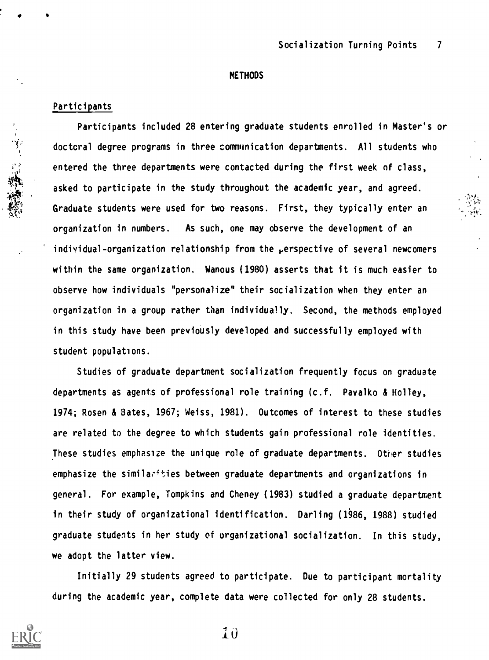,4:11

#### METHODS

#### Participants

1' ..1

Participants included 28 entering graduate students enrolled in Master's or doctcral degree programs in three communication departments. All students who entered the three departments were contacted during the first week of class, asked to participate in the study throughout the academic year, and agreed. Graduate students were used for two reasons. First, they typically enter an organization in numbers. As such, one may observe the development of an individual-organization relationship from the  $\rho$ erspective of several newcomers within the same organization. Wanous (1980) asserts that it is much easier to observe how individuals "personalize" their socialization when they enter an organization in a group rather than individually. Second, the methods employed in this study have been previously developed and successfully employed with student populations.

Studies of graduate department socialization frequently focus on graduate departments as agents of professional role training (c.f. Pavalko & Holley, 1974; Rosen & Bates, 1967; Weiss, 1981). Outcomes of interest to these studies are related to the degree to which students gain professional role identities. These studies emphasize the unique role of graduate departments. Other studies emphasize the similarities between graduate departments and organizations in general. For example, Tompkins and Cheney (1983) studied a graduate department in their study of organizational identification. Darling (1986, 1988) studied graduate students in her study of organizational socialization. In this study, we adopt the latter view.

Initially 29 students agreed to participate. Due to participant mortality during the academic year, complete data were collected for only 28 students.



 $\mathbf{10}$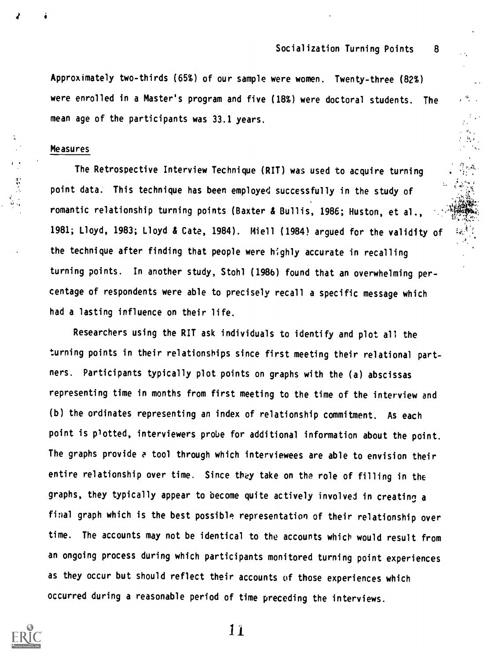Approximately two-thirds (65%) of our sample were women. Twenty-three (82%) were enrolled in a Master's program and five (18%) were doctoral students. The mean age of the participants was 33.1 years.

### Measures

**NN** Service Communication The Retrospective Interview Technique (RIT) was used to acquire turning point data. This technique has been employed successfully in the study of romantic relationship turning points (Baxter & Bullis, 1986; Huston, et al., 1981; Lloyd, 1983; Lloyd di Cate, 1984). Miell (1984) argued for the validity of the technique after finding that people were highly accurate in recalling turning points. In another study, Stohl (1986) found that an overwhelming percentage of respondents were able to precisely recall a specific message which had a lasting influence on their life.

Researchers using the RIT ask individuals to identify and plot all the turning points in their relationships since first meeting their relational partners. Participants typically plot points on graphs with the (a) abscissas representing time in months from first meeting to the time of the interview and (b) the ordinates representing an index of relationship commitment. As each point is plotted, interviewers probe for additional information about the point. The graphs provide e tool through which interviewees are able to envision their entire relationship over time. Since they take on the role of filling in the graphs, they typically appear to become quite actively involved in creating a final graph which is the best possible representation of their relationship over time. The accounts may not be identical to the accounts which would result from an ongoing process during which participants monitored turning point experiences as they occur but should reflect their accounts of those experiences which occurred during a reasonable period of time preceding the interviews.

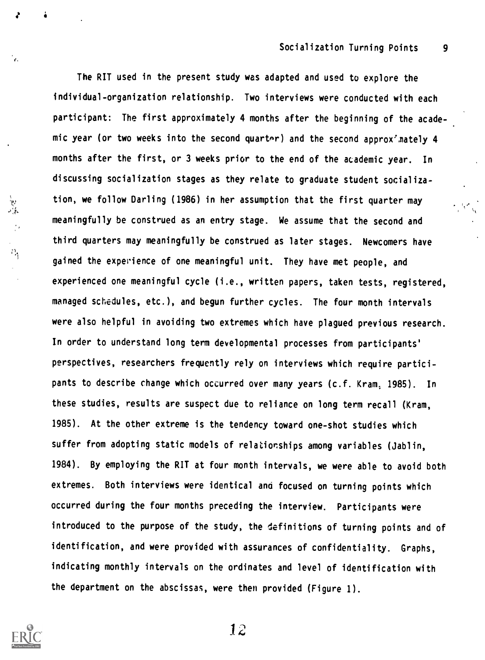The RIT used in the present study was adapted and used to explore the individual-organization relationship. Two interviews were conducted with each participant: The first approximately 4 months after the beginning of the academic year (or two weeks into the second quarter) and the second approx'mately 4 months after the first, or 3 weeks prior to the end of the academic year. In discussing socialization stages as they relate to graduate student socialization, we follow Darling (1986) in her assumption that the first quarter may meaningfully be construed as an entry stage. We assume that the second and third quarters may meaningfully be construed as later stages. Newcomers have gained the experience of one meaningful unit. They have met people, and experienced one meaningful cycle (i.e., written papers, taken tests, registered, managed schedules, etc.), and begun further cycles. The four month intervals were also helpful in avoiding two extremes which have plagued previous research. In order to understand long term developmental processes from participants' perspectives, researchers frequently rely on interviews which require participants to describe change which occurred over many years (c.f. Kram, 1985). In these studies, results are suspect due to reliance on long term recall (Kram, 1985). At the other extreme is the tendency toward one-shot studies which suffer from adopting static models of relationships among variables (Jablin, 1984). By employing the RIT at four month intervals, we were able to avoid both extremes. Both interviews were identical and focused on turning points which occurred during the four months preceding the interview. Participants were introduced to the purpose of the study, the definitions of turning points and of identification, and were provided with assurances of confidentiality. Graphs, indicating monthly intervals on the ordinates and level of identification with the department on the abscissas, were then provided (Figure 1).



'n.

 $\partial_{\eta}$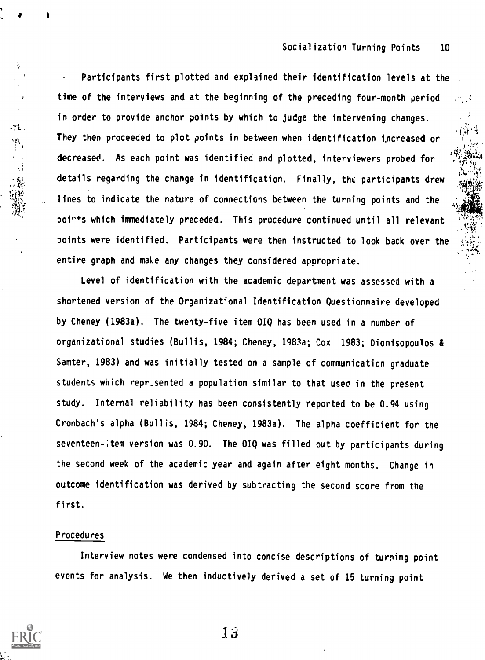Participants first plotted and explained their identification levels at the time of the interviews and at the beginning of the preceding four-month period in order to provide anchor points by which to judge the intervening changes. They then proceeded to plot points in between when identification increased or decreased. As each point was identified and plotted, interviewers probed for details regarding the change in identification. Finally, the participants drew lines to indicate the nature of connections between the turning points and the points which immediately preceded. This procedure continued until all relevant points were identified. Participants were then instructed to look back over the entire graph and make any changes they considered appropriate.

Level of identification with the academic department was assessed with a shortened version of the Organizational Identification Questionnaire developed by Cheney (1983a). The twenty-five item OIQ has been used in a number of organizational studies (Bullis, 1984; Cheney, 1983a; Cox 1983; Dionisopoulos & Samter, 1983) and was initially tested on a sample of communication graduate students which reprisented a population similar to that used in the present study. Internal reliability has been consistently reported to be 0.94 using Cronbach's alpha (Bullis, 1984; Cheney, 1983a). The alpha coefficient for the seventeen-; tem version was 0.90. The OIQ was filled out by participants during the second week of the academic year and again after eight months. Change in outcome identification was derived by subtracting the second score from the first.

## Procedures

1

, 1992年<br>第2章<br>第2章

 $\mathcal{M}$ 

Interview notes were condensed into concise descriptions of turning point events for analysis. We then inductively derived a set of 15 turning point

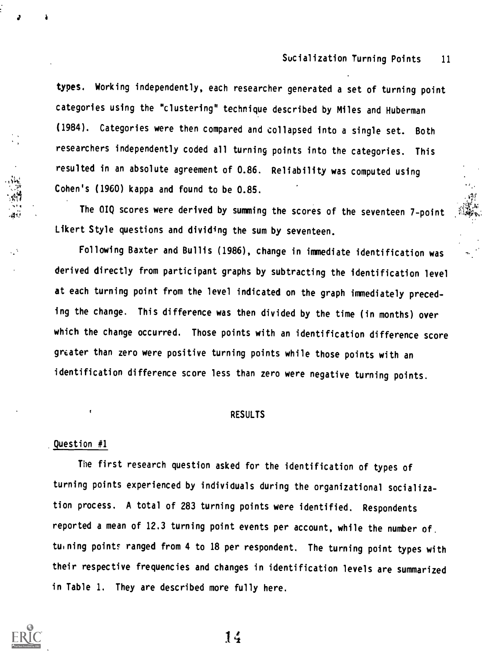typeS. Working independently, each researcher generated a set of turning point categories using the "clustering" technique described by Miles and Huberman (1984). Categories were then compared and collapsed into a single set. Both researchers independently coded all turning points into the categories. This resulted in an absolute agreement of 0.86. Reliability was computed using Cohen's (1960) kappa and found to be 0.85.

The 01Q scores were derived by summing the scores of the seventeen 7-point Likert Style questions and dividing the sum by seventeen.

Following Baxter and Bullis (1986), change in immediate identification was derived directly from participant graphs by subtracting the identification level at each turning point from the level indicated on the graph immediately preceding the change. This difference was then divided by the time (in months) over which the change occurred. Those points with an identification difference score greater than zero were positive turning points while those points with an identification difference score less than zero were negative turning points.

#### RESULTS

#### Question #1

The first research question asked for the identification of types of turning points experienced by individuals during the organizational socialization process. A total of 283 turning points were identified. Respondents reported a mean of 12.3 turning point events per account, while the number of. tuining points ranged from 4 to 18 per respondent. The turning point types with their respective frequencies and changes in identification levels are summarized in Table 1. They are described more fully here.

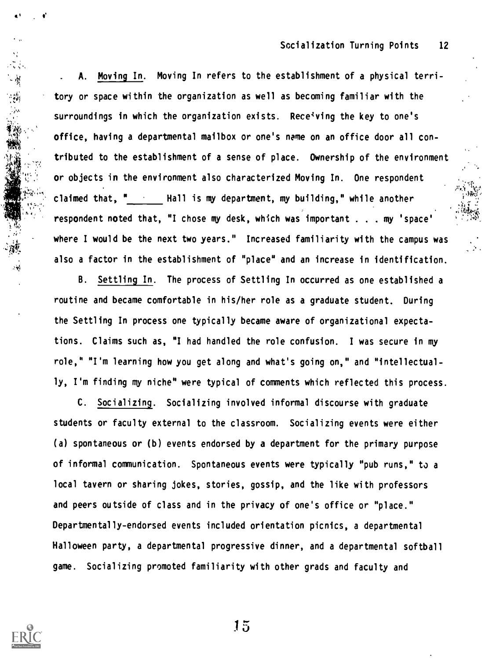$i^{\prime\prime}$ ivo t $i^{\prime\prime}$ 

 $4 + 3 +$ 

. A. Moving In. Moving In refers to the establishment of a physical territory or space within the organization as well as becoming familiar with the surroundings in which the organization exists. Rece<sup>t</sup>ving the key to one's office, having a departmental mailbox or one's name on an office door all contributed to the establishment of a sense of place. Ownership of the environment or objects in the environment also characterized Moving In. One respondent claimed that, " Hall is my department, my building," while another , If you can consider the contract of the contract of the contract of the contract of the contract of the contract of the contract of the contract of the contract of the contract of the contract of the contract of the cont respondent noted that, "I chose my desk, which was important . . . my 'space' where I would be the next two years." Increased familiarity with the campus was also a factor in the establishment of "place" and an increase in identification.

B. Settling In. The process of Settling In occurred as one established a routine and became comfortable in his/her role as a graduate student. During the Settling In process one typically became aware of organizational expectations. Claims such as, "I had handled the role confusion. I was secure in my role," "I'm learning how you get along and what's going on," and "intellectually, I'm finding my niche" were typical of comments which reflected this process.

C. Socializing. Socializing involved informal discourse with graduate students or faculty external to the classroom. Socializing events were either (a) spontaneous or (b) events endorsed by a department for the primary purpose of informal communication. Spontaneous events were typically "pub runs," to a local tavern or sharing jokes, stories, gossip, and the like with professors and peers outside of class and in the privacy of one's office or "place." Departmentally-endorsed events included orientation picnics, a departmental Halloween party, a departmental progressive dinner, and a departmental softball game. Socializing promoted familiarity with other grads and faculty and

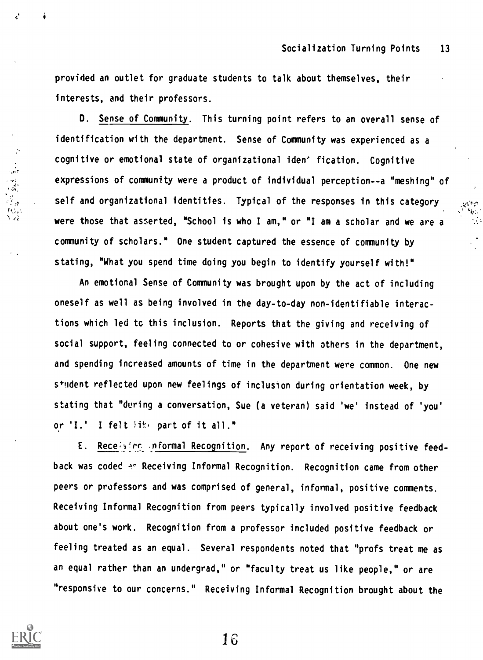provided an outlet for graduate students to talk about themselves, their interests, and their professors.

D. Sense of Community. This turning point refers to an overall sense of identification with the department. Sense of Community was experienced as a cognitive or emotional state of organizational iden' fication. Cognitive expressions of community were a product of individual perception--a "meshing" of self and organizational identities. Typical of the responses in this category were those that asserted, "School is who I am," or "I am a scholar and we are a community of scholars." One student captured the essence of community by stating, "What you spend time doing you begin to identify yourself with!"

An emotional Sense of Community was brought upon by the act of including oneself as well as being involved in the day-to-day non-identifiable interactions which led tc this inclusion. Reports that the giving and receiving of social support, feeling connected to or cohesive with others in the department, and spending increased amounts of time in the department were common. One new s+udent reflected upon new feelings of inclusion during orientation week, by stating that "during a conversation, Sue (a veteran) said 'we' instead of 'you' or 'I.' I felt lik, part of it all."

E. Receiving informal Recognition. Any report of receiving positive feedback was coded ... Receiving Informal Recognition. Recognition came from other peers or professors and was comprised of general, informal, positive comments. Receiving Informal Recognition from peers typically involved positive feedback about one's work. Recognition from a professor included positive feedback or feeling treated as an equal. Several respondents noted that "profs treat me as an equal rather than an undergrad," or "faculty treat us like people," or are "responsive to our concerns." Receiving Informal Recognition brought about the



्रै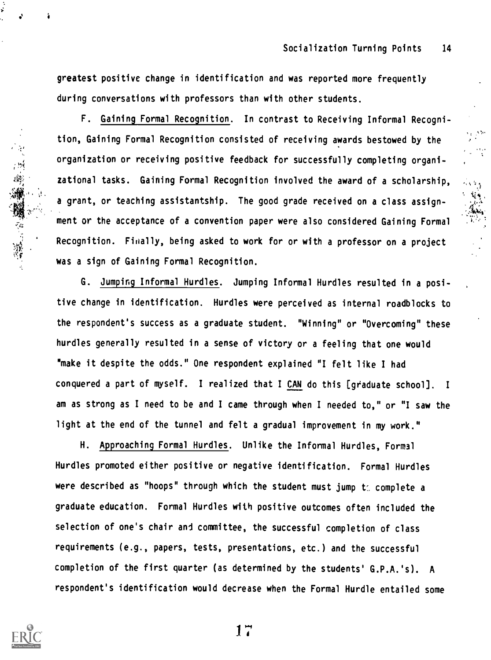greatest positive change in identification and was reported more frequently during conversations with professors than with other students.

F. Gaining Formal Recognition. In contrast to Receiving Informal Recognition, Gaining Formal Recognition consisted of receiving awards bestowed by the organization or receiving positive feedback for successfully completing organizational tasks. Gaining Formal Recognition involved the award of a scholarship<br>a grant, or teaching assistantship. The good grade received on a zational tasks. Gaining Formal Recognition involved the award of a scholarship,  $\mathbb{R}_{\geq 0}$ a grant, or teaching assistantship. The good grade received on a class assignment or the acceptance of a convention paper were also considered Gaining Formal Recognition. Finally, being asked to work for or with a professor on a project was a sign of Gaining Formal Recognition.

G. Jumping Informal Hurdles. Jumping Informal Hurdles resulted in a positive change in identification. Hurdles were perceived as internal roadblocks to the respondent's success as a graduate student. "Winning" or "Overcoming" these hurdles generally resulted in a sense of victory or a feeling that one would "make it despite the odds." One respondent explained "I felt like I had conquered a part of myself. I realized that I CAN do this [graduate school]. <sup>I</sup> am as strong as I need to be and I came through when I needed to," or "I saw the light at the end of the tunnel and felt a gradual improvement in my work."

H. Approaching Formal Hurdles. Unlike the Informal Hurdles, Formal Hurdles promoted either positive or negative identification. Formal Hurdles were described as "hoops" through which the student must jump t: complete a graduate education. Formal Hurdles with positive outcomes often included the selection of one's chair and committee, the successful completion of class requirements (e.g., papers, tests, presentations, etc.) and the successful completion of the first quarter (as determined by the students' G.P.A.'s). A respondent's identification would decrease when the Formal Hurdle entailed some

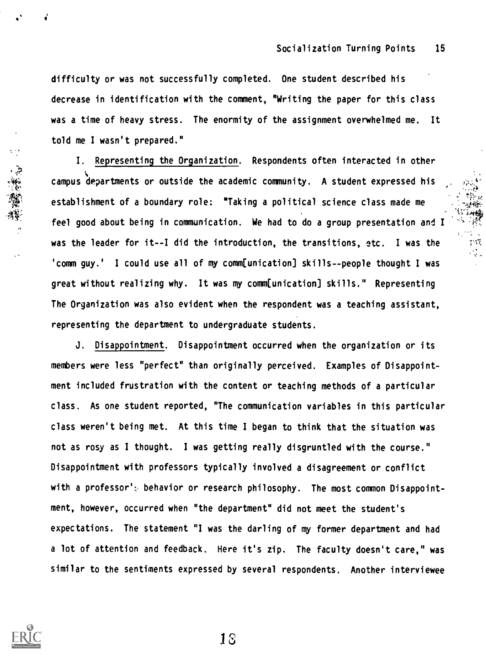difficulty or was not successfully completed. One student described his decrease in identification with the comment, "Writing the paper for this class was a time of heavy stress. The enormity of the assignment overwhelmed me. It told me I wasn't prepared."

 $4t$ I. Representing the Organization. Respondents often interacted in other campus departments or outside the academic community. A student expressed his  $\frac{1}{2}$ .  $\frac{1}{2}$ establishment of a boundary role: "Taking a political science class made me feel good about being in communication. We had to do a group presentation and I was the leader for it--I did the introduction, the transitions, etc. I was the 'comm guy.' I could use all of my comm[unication] skills--people thought I was great without realizing why. It was my comm[unication] skills." Representing The Organization was also evident when the respondent was a teaching assistant, representing the department to undergraduate students.

J. Disappointment. Disappointment occurred when the organization or its members were less "perfect" than originally perceived. Examples of Disappointment included frustration with the content or teaching methods of a particular class. As one student reported, "The communication variables in this particular class weren't being met. At this time I began to think that the situation was not as rosy as I thought. I was getting really disgruntled with the course." Disappointment with professors typically involved a disagreement or conflict with a professor': behavior or research philosophy. The most common Disappointment, however, occurred when "the department" did not meet the student's expectations. The statement "I was the darling of my former department and had a lot of attention and feedback. Here it's zip. The faculty doesn't care," was similar to the sentiments expressed by several respondents. Another interviewee

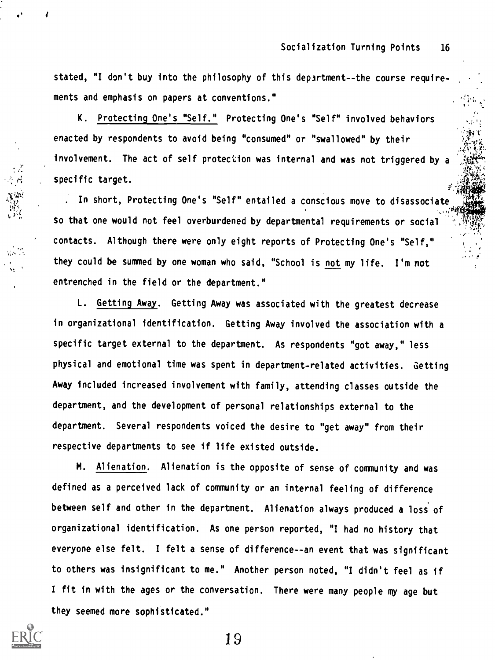stated, "I don't buy into the philosophy of this department- -the course requirements and emphasis on papers at conventions."

K. Protecting One's "Self." Protecting One's "Self" involved behaviors enacted by respondents to avoid being "consumed" or "swallowed" by their involvement. The act of self protection was internal and was not triggered by a specific target.

In short, Protecting One's "Self" entailed a conscious move to disassociate so that one would not feel overburdened by departmental requirements or social contacts. Although there were only eight reports of Protecting One's "Self," they could be summed by one woman who said, "School is not my life. I'm not entrenched in the field or the department."

L. Getting Away. Getting Away was associated with the greatest decrease in organizational identification. Getting Away involved the association with a specific target external to the department. As respondents "got away," less physical and emotional time was spent in department-related activities. Getting Away included increased involvement with family, attending classes outside the department, and the development of personal relationships external to the department. Several respondents voiced the desire to "get away" from their respective departments to see if life existed outside.

M. Alienation. Alienation is the opposite of sense of community and was defined as a perceived lack of community or an internal feeling of difference between self and other in the department. Alienation always produced a loss of organizational identification. As one person reported, "I had no history that everyone else felt. I felt a sense of difference--an event that was significant to others was insignificant to me." Another person noted, "I didn't feel as if <sup>I</sup> fit in with the ages or the conversation. There were many people my age but they seemed more sophisticated."

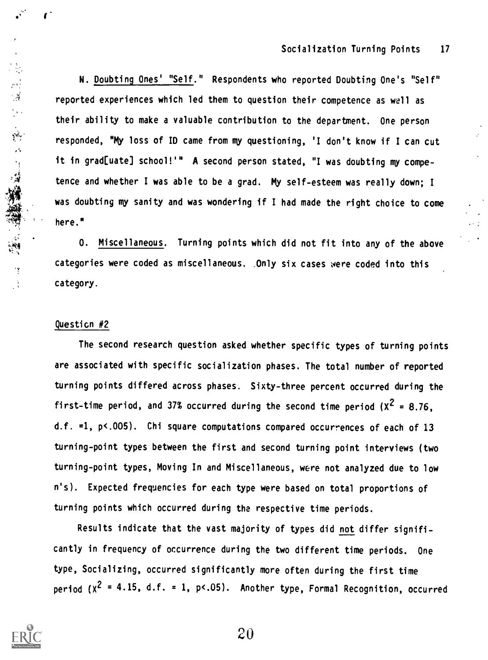N. Doubting Ones' "Self." Respondents who reported Doubting One's "Self" reported experiences which led them to question their competence as well as their ability to make a valuable contribution to the department. One person responded, "My loss of ID came from my questioning, 'I don't know if I can cut it in grad[uate] school!'" A second person stated, "I was doubting my competence and whether I was able to be a grad. my self-esteem was really down; <sup>I</sup> was doubting my sanity and was wondering if I had made the right choice to come here."

0. Miscellaneous. Turning points which did not fit into any of the above categories were coded as miscellaneous. Only six cases were coded into this category.

## Questicn #2

 $\mathbb{R}^d$ 

**一、我不可能解决的问题。** 

The second research question asked whether specific types of turning points are associated with specific socialization phases. The total number of reported turning points differed across phases. Sixty-three percent occurred during the first-time period, and 37% occurred during the second time period  $(X^2 = 8.76)$ . d.f. =1, p<.005). Chi square computations compared occurrences of each of 13 turning-point types between the first and second turning point interviews (two turning-point types, Moving In and Miscellaneous, were not analyzed due to low n's). Expected frequencies for each type were based on total proportions of turning points which occurred during the respective time periods.

Results indicate that the vast majority of types did not differ significantly in frequency of occurrence during the two different time periods. One type, Socializing, occurred significantly more often during the first time period  $(x^2 = 4.15, d.f. = 1, p<0.6)$ . Another type, Formal Recognition, occurred

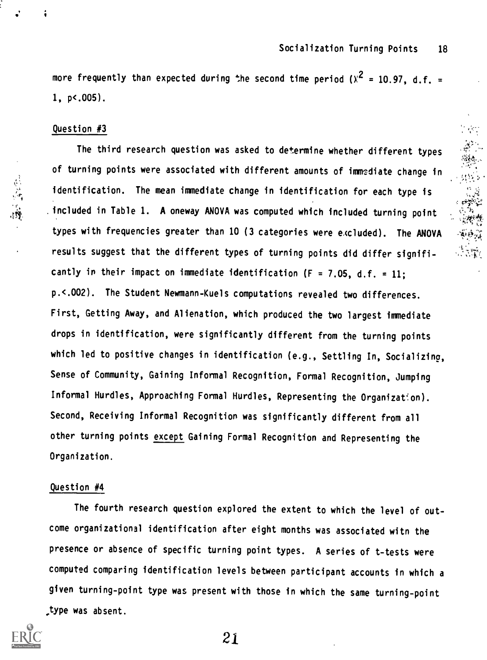more frequently than expected during the second time period ( $\chi^2$  = 10.97, d.f. =  $\hfill$ 1, p<.005).

### Question #3

总治源

The third research question was asked to determine whether different types of turning points were associated with different amounts of immediate change in identification. The mean immediate change in identification for each type is .included in Table 1. A oneway ANOVA was computed which included turning point types with frequencies greater than 10 (3 categories were e.cluded). The ANOVA results suggest that the different types of turning points did differ significantly in their impact on immediate identification (F = 7.05, d.f. = 11; p.<.002). The Student Newmann-Kuels computations revealed two differences. First, Getting Away, and Alienation, which produced the two largest immediate drops in identification, were significantly different from the turning points which led to positive changes in identification (e.g., Settling In, Socializing, Sense of Community, Gaining Informal Recognition, Formal Recognition, Jumping Informal Hurdles, Approaching Formal Hurdles, Representing the Organization). Second, Receiving Informal Recognition was significantly different from all other turning points except Gaining Formal Recognition and Representing the Organization.

## Question #4

The fourth research question explored the extent to which the level of outcome organizational identification after eight months was associated witn the presence or absence of specific turning point types. A series of t-tests were computed comparing identification levels between participant accounts in which a given turning-point type was present with those in which the same turning-point .type was absent.

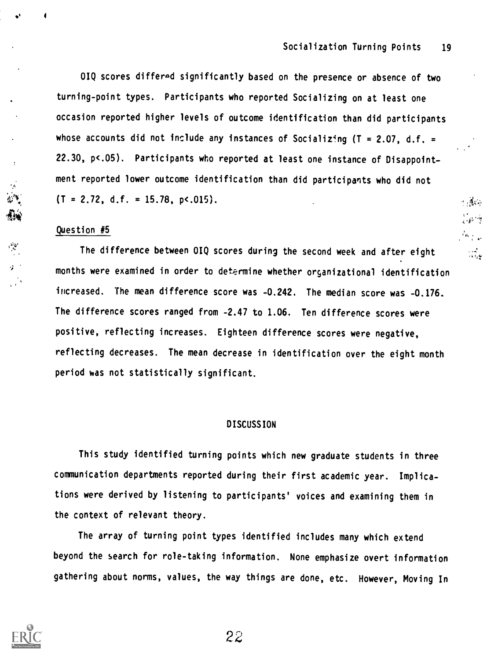rft

 $\alpha$  ,  $\frac{1}{2}g(\vec{x})$ 

OIQ scores differed significantly based on the presence or absence of two turning-point types. Participants who reported Socializing on at least one occasion reported higher levels of outcome identification than did participants whose accounts did not include any instances of Socializing ( $T = 2.07$ , d.f. = 22.30, p<.05). Participants who reported at least one instance of Disappointment reported lower outcome identification than did participants who did not  $(T = 2.72, d.f. = 15.78, p<0.015).$ 

### Question #5

The difference between OIQ scores during the second week and after eight and months were examined in order to determine whether organizational identification increased. The mean difference score was -0.242. The median score was -0.176. The difference scores ranged from -2.47 to 1.06. Ten difference scores were positive, reflecting increases. Eighteen difference scores were negative, reflecting decreases. The mean decrease in identification over the eight month period was not statistically significant.

#### DISCUSSION

This study identified turning points which new graduate students in three communication departments reported during their first academic year. Implications were derived by listening to participants' voices and examining them in the context of relevant theory.

The array of turning point types identified includes many which extend beyond the search for role-taking information. None emphasize overt information gathering about norms, values, the way things are done, etc. However, Moving In

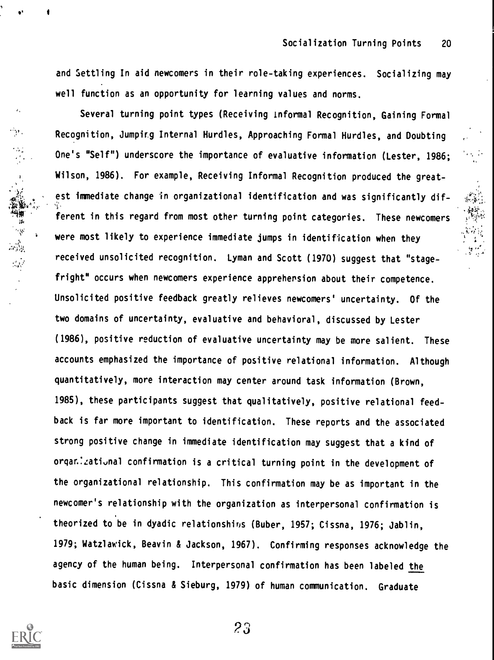t.

and Settling In aid newcomers in their role-taking experiences. Socializing may well function as an opportunity for learning values and norms.

Several turning point types (Receiving informal Recognition, Gaining Formal Recognition, Jumpir.g Internal Hurdles, Approaching Formal Hurdles, and Doubting One's "Self") underscore the importance of evaluative information (Lester, 1986; Wilson, 1986). For example, Receiving Informal Recognition produced the greatest immediate change in organizational identification and was significantly dif- **\*\*** ferent in this regard from most other turning point categories. These newcomers were most likely to experience immediate jumps in identification when they received unsolicited recognition. Lyman and Scott (1970) suggest that "stagefright" occurs when newcomers experience apprehension about their competence. Unsolicited positive feedback greatly relieves newcomers' uncertainty. Of the two domains of uncertainty, evaluative and behavioral, discussed by Lester (1986), positive reduction of evaluative uncertainty may be more salient. These accounts emphasized the importance of positive relational information. Although quantitatively, more interaction may center around task information (Brown, 1985), these participants suggest that qualitatively, positive relational feedback is far more important to identification. These reports and the associated strong positive change in immediate identification may suggest that a kind of organ. Zational confirmation is a critical turning point in the development of the organizational relationship. This confirmation may be as important in the newcomer's relationship with the organization as interpersonal confirmation is theorized to be in dyadic relationshins (Buber, 1957; Cissna, 1976; Jablin, 1979; Watzlawick, Beavin & Jackson, 1967). Confirming responses acknowledge the agency of the human being. Interpersonal confirmation has been labeled the basic dimension (Cissna & Sieburg, 1979) of human communication. Graduate



 $\epsilon$ 

Ŵг.

· 大学の · 大学の · 大学の · 大学の · 大学の · 大学の · 大学の · 大学の · 大学の · 大学の · 大学の · 大学の · 大学の · 大学の · 大学の · 大学の · 大学

?3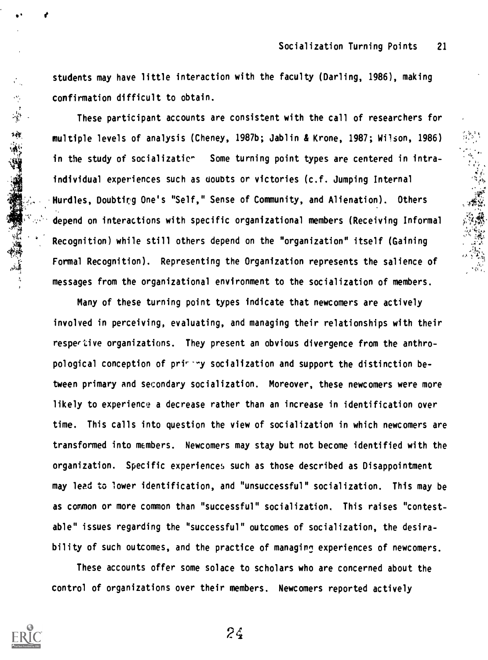4

 $\mathcal{O}_{\mathcal{N}_\text{c}}$ 

4.>

students may have little interaction with the faculty (Darling, 1986), making confirmation difficult to obtain.

These participant accounts are consistent with the call of researchers for multiple levels of analysis (Cheney, 1987b; Jablin b Krone, 1987; Wilson, 1986) in the study of socializatic<sup>\*</sup> Some turning point types are centered in intraindividual experiences such as doubts or victories (c.f. Jumping Internal Hurdles, Doubting One's "Self," Sense of Community, and Alienation). Others depend on interactions with specific organizational members (Receiving Informal Recognition) while still others depend on the "organization" itself (Gaining Formal Recognition). Representing the Organization represents the salience of messages from the organizational environment to the socialization of members.

Many of these turning point types indicate that newcomers are actively involved in perceiving, evaluating, and managing their relationships with their respective organizations. They present an obvious divergence from the anthropological conception of printing socialization and support the distinction between primary and secondary socialization. Moreover, these newcomers were more likely to experience a decrease rather than an increase in identification over time. This calls into question the view of socialization in which newcomers are transformed into members. Newcomers may stay but not become identified with the organization. Specific experiences such as those described as Disappointment may lead to lower identification, and "unsuccessful" socialization. This may be as common or more common than "successful" socialization. This raises "contestable" issues regarding the "successful" outcomes of socialization, the desirability of such outcomes, and the practice of managing experiences of newcomers.

These accounts offer some solace to scholars who are concerned about the control of organizations over their members. Newcomers reported actively



大学 大学 大学 大学 大学 あいかん あいまん あいまん あいまん あいまん あいまん あいまん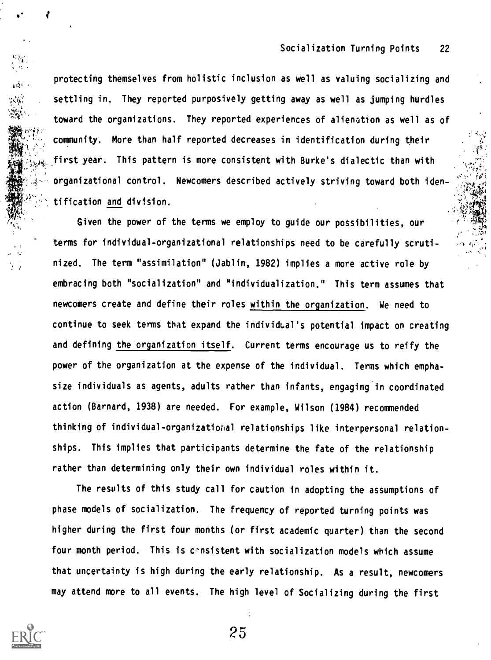protecting themselves from holistic inclusion as well as valuing socializing and settling in. They reported purposively getting away as well as jumping hurdles toward the organizations. They reported experiences of alienation as well as of community. More than half reported decreases in identification during their first year. This pattern is more consistent with Burke's dialectic than with organizational control. Newcomers described actively striving toward both identification and division.

Given the power of the terms we employ to guide our possibilities, our terms for individual-organizational relationships need to be carefully scrutinized. The term "assimilation" (Jablin, 1982) implies a more active role by embracing both "socialization" and "individualization." This term assumes that newcomers create and define their roles within the organization. We need to continue to seek terms that expand the individLal's potential impact on creating and defining the organization itself. Current terms encourage us to reify the power of the organization at the expense of the individual. Terms which emphasize individuals as agents, adults rather than infants, engaging in coordinated action (Barnard, 1938) are needed. For example, Wilson (1984) recommended thinking of individual-organizatiorial relationships like interpersonal relationships. This implies that participants determine the fate of the relationship rather than determining only their own individual roles within it.

The results of this study call for caution in adopting the assumptions of phase models of socialization. The frequency of reported turning points was higher during the first four months (or first academic quarter) than the second four month period. This is consistent with socialization models which assume that uncertainty is high during the early relationship. As a result, newcomers may attend more to all events. The high level of Socializing during the first

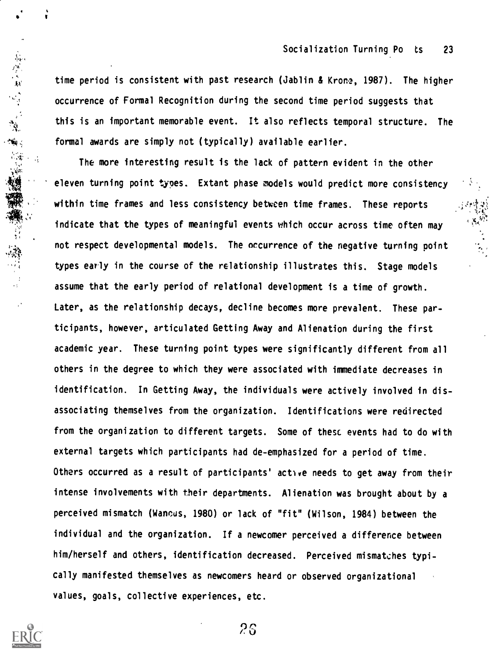time period is consistent with past research (Jablin & Krone, 1987). The higher occurrence of Formal Recognition during the second time period suggests that this is an important memorable event. It also reflects temporal structure. The formal awards are simply not (typically) available earlier.

The more interesting result is the lack of pattern evident in the other eleven turning point types. Extant phase models would predict more consistency within time frames and less consistency between time frames. These reports indicate that the types of meaningful events which occur across time often may not respect developmental models. The occurrence of the negative turning point types early in the course of the relationship illustrates this. Stage models assume that the early period of relational development is a time of growth. Later, as the relationship decays, decline becomes more prevalent. These participants, however, articulated Getting Away and Alienation during the first academic year. These turning point types were significantly different from all others in the degree to which they were associated with immediate decreases in identification. In Getting Away, the individuals were actively involved in disassociating themselves from the organization. Identifications were redirected from the organization to different targets. Some of these events had to do with external targets which participants had de-emphasized for a period of time. Others occurred as a result of participants' active needs to get away from their intense involvements with their departments. Alienation was brought about by a perceived mismatch (Wancds, 1980) or lack of "fit" (Wilson, 1984) between the individual and the organization. If a newcomer perceived a difference between him/herself and others, identification decreased. Perceived mismatches typically manifested themselves as newcomers heard or observed organizational values, goals, collective experiences, etc.



 $\cdot$   $\cdot$ AA'

**一、大家的人的人的人的人。 医心理病理学 医心理病理学**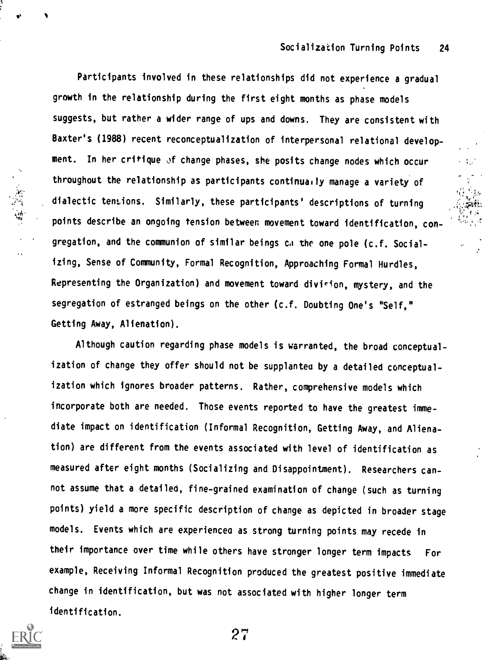Participants involved in these relationships did not experience a gradual growth in the relationship during the first eight months as phase models suggests, but rather a wider range of ups and downs. They are consistent with Baxter's (1988) recent reconceptualization of interpersonal relational development. In her critique of change phases, she posits change nodes which occur throughout the relationship as participants continually manage a variety of dialectic tensions. Similarly, these participants' descriptions of turning points describe an ongoing tension between movement toward identification, congregation, and the communion of similar beings ca the one pole (c.f. Socializing, Sense of Community, Formal Recognition, Approaching Formal Hurdles, Representing the Organization) and movement toward division, mystery, and the segregation of estranged beings on the other (c.f. Doubting One's "Self," Getting Away, Alienation).

Although caution regarding phase models is warranted, the broad conceptualization of change they offer should not be supplantea by a detailed conceptualization which ignores broader patterns. Rather, comprehensive models which incorporate both are needed. Those events reported to have the greatest immediate impact on identification (Informal Recognition, Getting Away, and Alienation) are different from the events associated with level of identification as measured after eight months (Socializing and Disappointment). Researchers cannot assume that a detailed, fine-grained examination of change (such as turning points) yield a more specific description of change as depicted in broader stage models. Events which are experiencea as strong turning points may recede in their importance over time while others have stronger longer term impacts For example, Receiving Informal Recognition produced the greatest positive immediate change in identification, but was not associated with higher longer term identification.

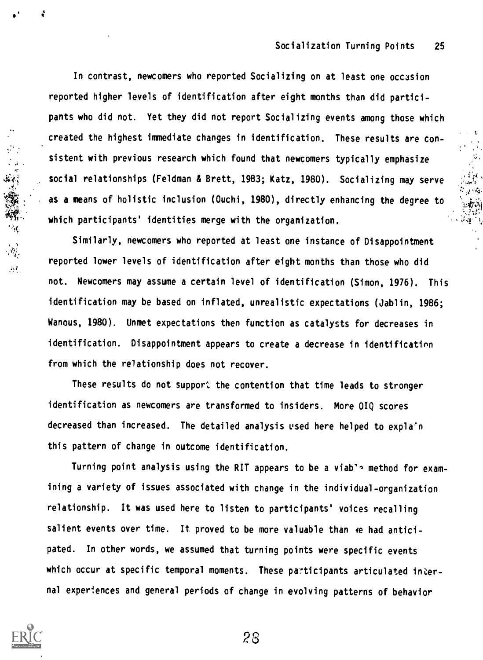In contrast, newcomers who reported Socializing on at least one occasion reported higher levels of identification after eight months than did participants who did not. Yet they did not report Socializing events among those which created the highest immediate changes in identification. These results are consistent with previous research which found that newcomers typically emphasize social relationships (Feldman & Brett, 1983; Katz, 1980). Socializing may serve as a means of holistic inclusion (Ouchi, 1980), directly enhancing the degree to which participants' identities merge with the organization.

Similarly, newcomers who reported at least one instance of Disappointment reported lower levels of identification after eight months than those who did not. Newcomers may assume a certain level of identification (Simon, 1976). This identification may be based on inflated, unrealistic expectations (Jablin, 1986; Wanous, 1980). Unmet expectations then function as catalysts for decreases in identification. Disappointment appears to create a decrease in identification from which the relationship does not recover.

These results do not support the contention that time leads to stronger identification as newcomers are transformed to insiders. More OIQ scores decreased than increased. The detailed analysis used here helped to expla'n this pattern of change in outcome identification.

Turning point analysis using the RIT appears to be a viab's method for examining a variety of issues associated with change in the individual-organization relationship. It was used here to listen to participants' voices recalling salient events over time. It proved to be more valuable than ye had anticipated. In other words, we assumed that turning points were specific events which occur at specific temporal moments. These participants articulated internal experiences and general periods of change in evolving patterns of behavior



dr

 $\langle a \rangle$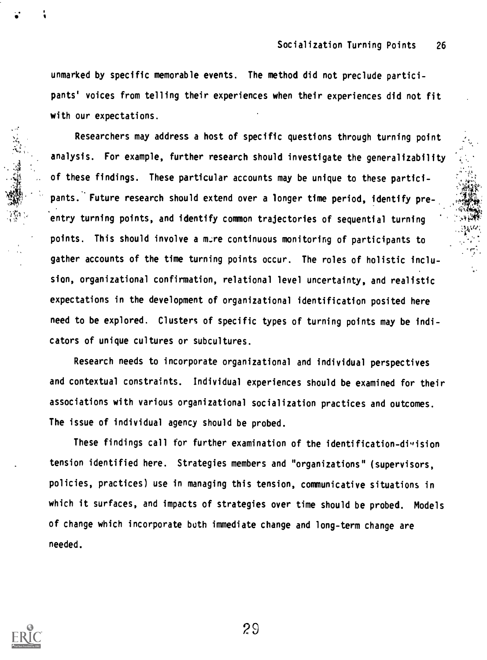. -

.

unmarked by specific memorable events. The method did not preclude participants' voices from telling their experiences when their experiences did not fit with our expectations.

Researchers may address a host of specific questions through turning point analysis. For example, further research should investigate the generalizability of these findings. These particular accounts may be unique to these participants. Future research should extend over a longer time period, identify preentry turning points, and identify common trajectories of sequential turning points. This should involve a mire continuous monitoring of participants to gather accounts of the time turning points occur. The roles of holistic inclusion, organizational confirmation, relational level uncertainty, and realistic expectations in the development of organizational identification posited here need to be explored. Clusters of specific types of turning points may be indicators of unique cultures or subcultures.

Research needs to incorporate organizational and individual perspectives and contextual constraints. Individual experiences should be examined for their associations with various organizational socialization practices and outcomes. The issue of individual agency should be probed.

These findings call for further examination of the identification-division tension identified here. Strategies members and "organizations" (supervisors, policies, practices) use in managing this tension, communicative situations in which it surfaces, and impacts of strategies over time should be probed. Models of change which incorporate both immediate change and long-term change are needed.

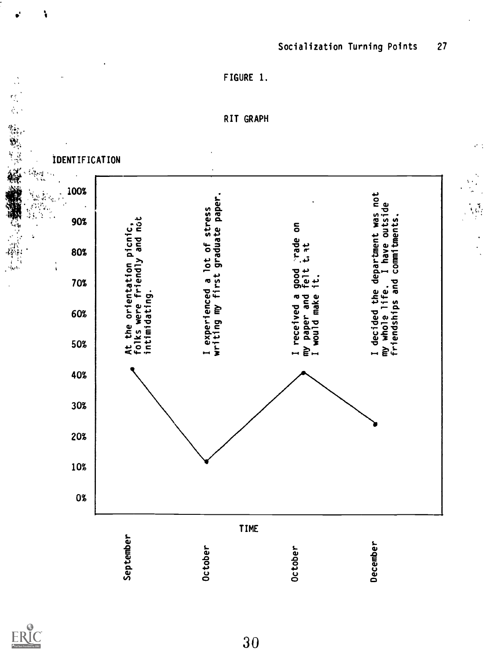

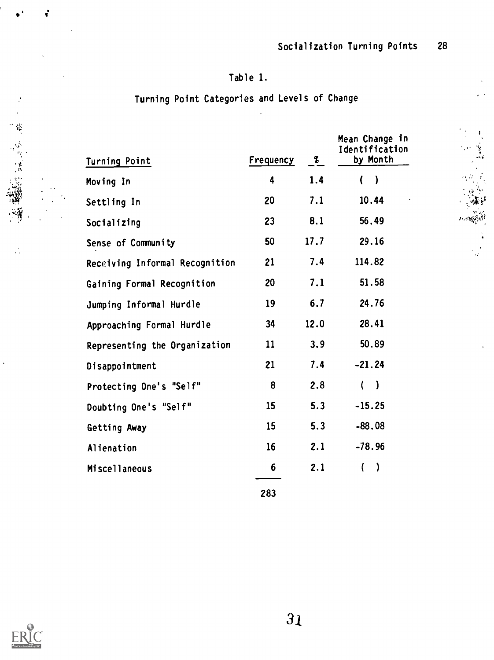$1.128$ 

# Table 1.

# Turning Point Categories and Levels of Change

| Turning Point                  | Frequency | $\boldsymbol{\mathscr{Z}}$ | Mean Change in<br>Identification<br>by Month |
|--------------------------------|-----------|----------------------------|----------------------------------------------|
| Moving In                      | 4         | 1.4                        | ( )                                          |
| Settling In                    | 20        | 7.1                        | 10.44                                        |
| Socializing                    | 23        | 8.1                        | 56,49                                        |
| Sense of Community             | 50        | 17.7                       | 29.16                                        |
| Receiving Informal Recognition | 21        | 7.4                        | 114.82                                       |
| Gaining Formal Recognition     | 20        | 7.1                        | 51.58                                        |
| Jumping Informal Hurdle        | 19        | 6.7                        | 24.76                                        |
| Approaching Formal Hurdle      | 34        | 12.0                       | 28.41                                        |
| Representing the Organization  | 11        | 3.9                        | 50.89                                        |
| Disappointment                 | 21        | 7.4                        | $-21.24$                                     |
| Protecting One's "Self"        | 8         | 2.8                        | ( )                                          |
| Doubting One's "Self"          | 15        | 5.3                        | $-15.25$                                     |
| Getting Away                   | 15        | 5.3                        | $-88.08$                                     |
| Alienation                     | 16        | 2.1                        | $-78.96$                                     |
| Miscellaneous                  | 6         | 2.1                        | $\lambda$<br>$\left($                        |
|                                |           |                            |                                              |

283



ċ

**第一次的情報** 

 $\hat{\vec{r}}_i$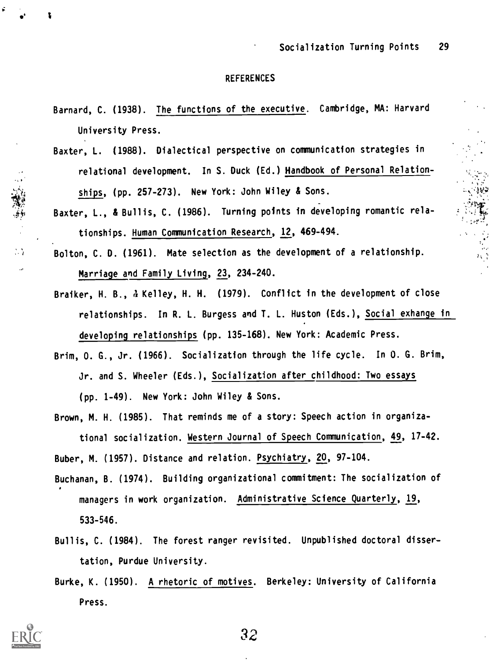$4.4<sub>1</sub>$ 

#### REFERENCES

- Barnard, C. (1938). The functions of the executive. Cambridge, MA: Harvard University Press.
- Baxter, L. (1988). Dialectical perspective on communication strategies in relational development. In S. Duck (Ed.) Handbook of Personal Relationships, (pp. 257-273). New York: John Wiley & Sons.
- Baxter, L., & Bullis, C. (1986). Turning points in developing romantic relationships. Human Communication Research, 12, 469-494.
- Bolton, C. D. (1961). Mate selection as the development of a relationship. Marriage and Family Living, 23, 234-240.
- Braiker, H. B., 4 Kelley, H. H. (1979). Conflict in the development of close relationships. In R. L. Burgess and T. L. Huston (Eds.), Social exhange in developing relationships (pp. 135-168). New York: Academic Press.
- Brim, 0. G., Jr. (1966). Socialization through the life cycle. In 0. G. Brim, Jr. and S. Wheeler (Eds.), Socialization after childhood: Two essays

(pp. 1-49). New York: John Wiley & Sons.

Brown, M. H. (1985). That reminds me of a story: Speech action in organizational socialization. Western Journal of Speech Communication, 49, 17-42.

Buber, M. (1957). Distance and relation. Psychiatry, 20, 97-104.

- Buchanan, B. (1974). Building organizational commitment: The socialization of managers in work organization. Administrative Science Quarterly, 19, 533-546.
- Bullis, C. (1984). The forest ranger revisited. Unpublished doctoral dissertation, Purdue University.
- Burke, K. (1950). A rhetoric of motives. Berkeley: University of California Press.



 $\bullet$  .

"我们是

 $\mathbb{Z}$  $\ddot{\phantom{a}}$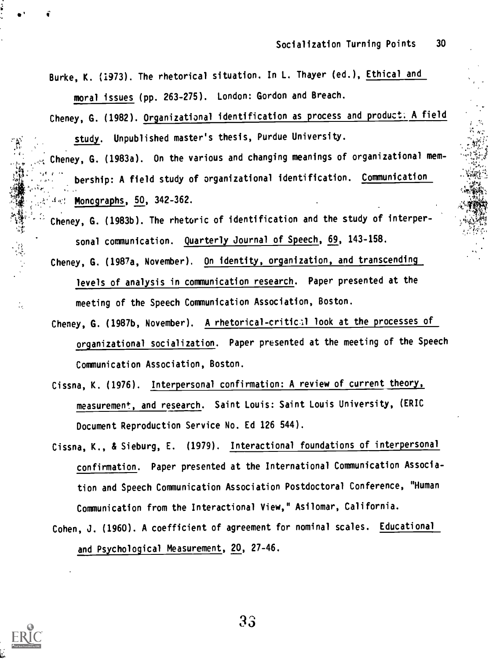Burke, K. (1973). The rhetorical situation. In L. Thayer (ed.), Ethical and moral issues (pp. 263-275). London: Gordon and Breach.

Cheney, G. (1982). Organizational identification as process and product; A field study. Unpublished master's thesis, Purdue University.

Cheney, G. (1983a). On the various and changing meanings of organizational membership: A field study of organizational identification. Communication J,: Monographs, 50, 342-362.

Cheney, G. (1983b). The rhetoric of identification and the study of interpersonal communication. Quarterly Journal of Speech, 69, 143-158.

騷噓 没修正

 $\frac{1}{2}$ 

- Cheney, G. (1987a, November). On identity, organization, and transcending levels of analysis in communication research. Paper presented at the meeting of the Speech Communication Association, Boston.
- Cheney, G. (1987b, November). A rhetorical-critical look at the processes of organizational socialization. Paper presented at the meeting of the Speech Communication Association, Boston.
- Cissna, K. (1976). Interpersonal confirmation: A review of current theory, measurement, and research. Saint Louis: Saint Louis University, (ERIC Document Reproduction Service No. Ed 126 544).
- Cissna, K., & Sieburg, E. (1979). Interactional foundations of interpersonal confirmation. Paper presented at the International Communication Association and Speech Communication Association Postdoctoral Conference, "Human Communication from the Interactional View," Asilomar, California.
- Cohen, J. (1960). A coefficient of agreement for nominal scales. Educational and Psychological Measurement, 20, 27-46.

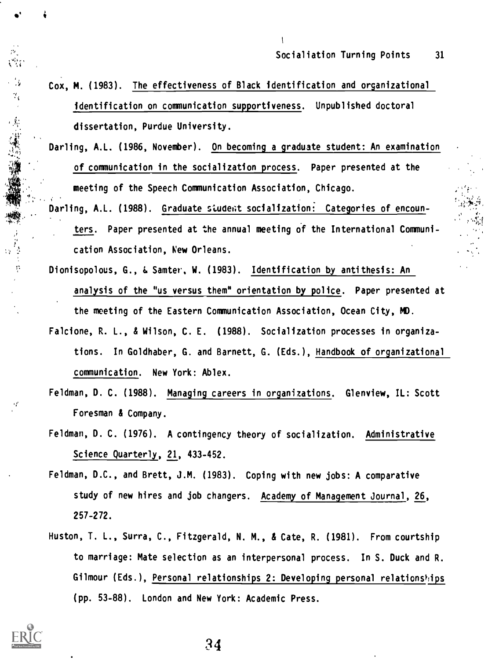Cox, M. (1983). The effectiveness of Black identification and organizational identification on communication supportiveness. Unpublished doctoral dissertation, Purdue University.

 $\mathbf{I}$ 

- Darling, A.L. (1986, November). On becoming a graduate student: An examination of communication in the socialization process. Paper presented at the meeting of the Speech Communication Association, Chicago.
- Darling, A.L. (1988). Graduate student socialization: Categories of encounters. Paper presented at the annual meeting of the International Communication Association, New Orleans.
- Dionisopolous, G., & Samter, W. (1983). Identification by antithesis: An analysis of the "us versus them" orientation by police. Paper presented at the meeting of the Eastern Communication Association, Ocean City, MD. Falcione, R. L., & Wilson, C. E. (1988). Socialization processes in organiza-
- tions. In Goldhaber, G. and Barnett, G. (Eds.), Handbook of organizational communication. New York: Ablex.
- Feldman, D. C. (1988). Managing careers in organizations. Glenview, IL: Scott Foresman & Company.
- Feldman, D. C. (1976). A contingency theory of socialization. Administrative Science Quarterly, 21, 433-452.
- Feldman, D.C., and Brett, J.M. (1983). Coping with new jobs: A comparative study of new hires and job changers. Academy of Management Journal, 26, 257-272.
- Huston, T. L., Surra, C., Fitzgerald, N. M., & Cate, R. (1981). From courtship to marriage: Mate selection as an interpersonal process. In S. Duck and R. Gilmour (Eds.), Personal relationships 2: Developing personal relationships (pp. 53-88). London and New York: Academic Press.



 $\gamma_{\rm g}$ 

**大家的事情**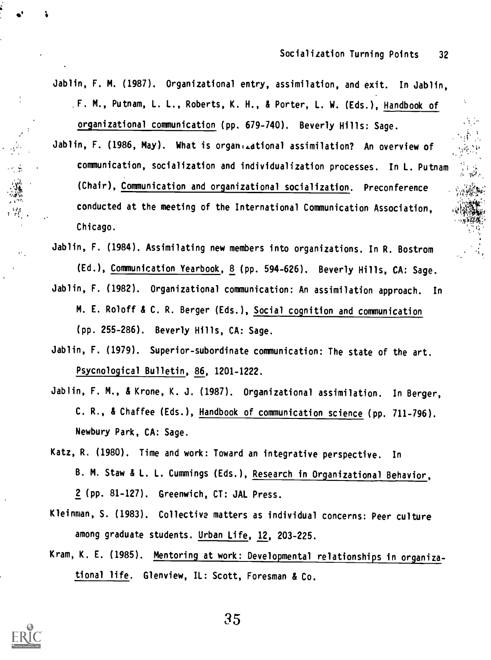10.

- Jablin, F. M. (1987). Organizational entry, assimilation, and exit. In Jablin, F. M., Putnam, L. L., Roberts, K. H., & Porter, L. W. (Eds.), Handbook of organizational communication (pp. 679-740). Beverly Hills: Sage.
- Jablin, F. (1986, May). What is organizational assimilation? An overview of communication, socialization and individualization processes. In L. Putnam (Chair), Communication and organizational socialization. Preconference conducted at the meeting of the International Communication Association, Chicago.
- Jablin, F. (1984). Assimilating new members into organizations. In R. Bostrom (Ed.), Communication Yearbook, 8 (pp. 594-626). Beverly Hills, CA: Sage. Jablin, F. (1982). Organizational communication: An assimilation approach. In M. E. Roloff & C. R. Berger (Eds.), Social cognition and communication (pp. 255-286). Beverly Hills, CA: Sage.
- Jablin, F. (1979). Superior-subordinate communication: The state of the art. Psycnological Bulletin, 86, 1201-1222.
- Jablin, F. M., & Krone, K. J. (1987). Organizational assimilation. In Berger, C. R., & Chaffee (Eds.), Handbook of communication science (pp. 711-796). Newbury Park, CA: Sage.
- Katz, R. (1980). Time and work: Toward an integrative perspective. In B. M. Staw & L. L. Cummings (Eds.), Research in Organizational Behavior, 2 (pp. 81-127). Greenwich, CT: JAL Press.
- Kleinman, S. (1983). Collective matters as individual concerns: Peer culture among graduate students. Urban Life, 12, 203-225.
- Kram, K. E. (1985). Mentoring at work: Developmental relationships in organizational life. Glenview, IL: Scott, Foresman & Co.



e<sup>r</sup> For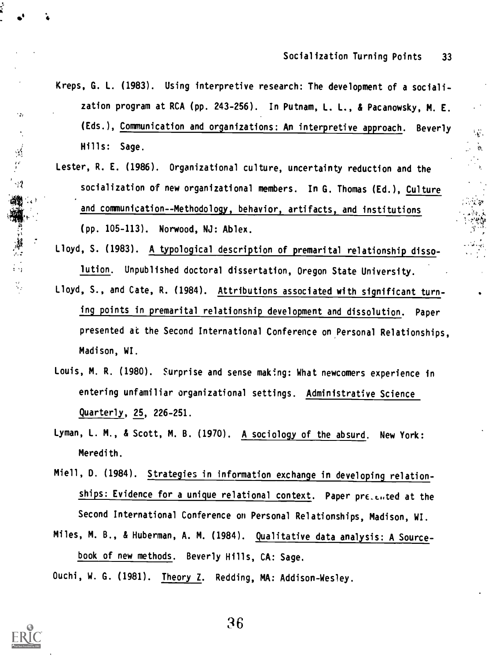- Kreps, G. L. (1983). Using interpretive research: The development of a socialization program at RCA (pp. 243-256). In Putnam, L. L., & Pacanowsky, M. E. (Eds.), Communication and organizations: An interpretive approach. Beverly Hills: Sage.
- Lester, R. E. (1986). Organizational culture, uncertainty reduction and the socialization of new organizational members. In G. Thomas (Ed.), Culture and communication--Methodology, behavior, artifacts, and institutions (pp. 105-113). Norwood, NJ: Ablex.
- Lloyd, S. (1983). A typological description of premarital relationship dissolution. Unpublished doctoral dissertation, Oregon State University.
- Lloyd, S., and Cate, R. (1984). Attributions associated with significant turning points in premarital relationship development and dissolution. Paper presented at the Second International Conference on Personal Relationships, Madison, WI.
- Louis, M. R. (1980). Surprise and sense making: What newcomers experience in entering unfamiliar organizational settings. Administrative Science Quarterly, 25, 226-251.
- Lyman, L. M., & Scott, M. B. (1970). A sociology of the absurd. New York: Meredith.
- Miell, D. (1984). Strategies in information exchange in developing relationships: Evidence for a unique relational context. Paper pre\_cuted at the Second International Conference on Personal Relationships, Madison, WI.
- Miles, M. B., & Huberman, A. M. (1984). Qualitative data analysis: A Sourcebook of new methods. Beverly Hills, CA: Sage.
- Ouchi, W. G. (1981). Theory Z. Redding, MA: Addison-Wesley.



 $\bullet^4$  ,  $\bullet$  ,  $\bullet$ 

44

说出世

 $\mathcal{L}_\mathrm{f}$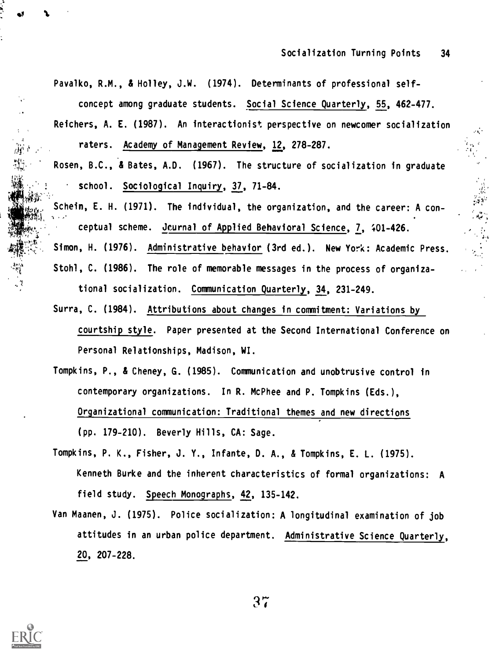4.;

Pavalko, R.M., & Holley, J.W. (1974). Determinants of professional selfconcept among graduate students. Social Science Quarterly, 55, 462-477.

- Reichers, A. E. (1987). An interactionist perspective on newcomer socialization raters. Academy of Management Review, 12, 278-287.
- Rosen, B.C., & Bates, A.D. (1967). The structure of socialization in graduate school. Sociological Inquiry, 37, 71-84.
	- Schein, E. H. (1971). The individual, the organization, and the career: A conceptual scheme. Jcurnal of Applied Behavioral Science, 7, +01-426.
- Simon, H. (1976). Administrative behavior (3rd ed.). New York: Academic Press. Stohl, C. (1986). The role of memorable messages in the process of organizational socialization. Communication Quarterly, 34, 231-249.
- Surra, C. (1984). Attributions about changes in commitment: Variations by courtship style. Paper presented at the Second International Conference on Personal Relationships, Madison, WI.
- Tompkins, P., & Cheney, G. (1985). Communication and unobtrusive control in contemporary organizations. In R. McPhee and P. Tompkins (Eds.), Organizational communication: Traditional themes and new directions (pp. 179-210). Beverly Hills, CA: Sage.
- Tompkins, P. K., Fisher, J. Y., Infante, D. A., & Tompkins, E. L. (1975). Kenneth Burke and the inherent characteristics of formal organizations: A field study. Speech Monographs, 42, 135-142.
- Van Maanen, J. (1975). Police socialization: A longitudinal examination of job attitudes in an urban police department. Administrative Science Quarterly, 20, 207-228.



s